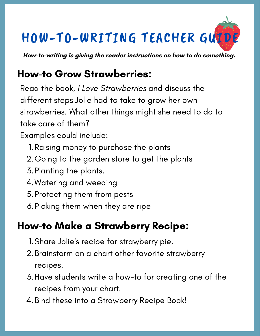# HOW-TO-WRITING TEACHER GUIDE

**How-to-writing is giving the reader instructions on how to do something.**

## How-to Grow Strawberries:

Read the book, I Love Strawberries and discuss the different steps Jolie had to take to grow her own strawberries. What other things might she need to do to take care of them?

- Examples could include:
	- 1. Raising money to purchase the plants
	- 2.Going to the garden store to get the plants
	- 3. Planting the plants.
	- Watering and weeding 4.
	- 5. Protecting them from pests
	- 6.Picking them when they are ripe

### How-to Make a Strawberry Recipe:

- Share Jolie '1. Share Jolie's recipe for strawberry pie.
- Brainstorm on a chart other favorite strawberry 2. recipes.
- Have students write a how-to for creating one of the 3. recipes from your chart.
- Bind these into a Strawberry Recipe Book! 4.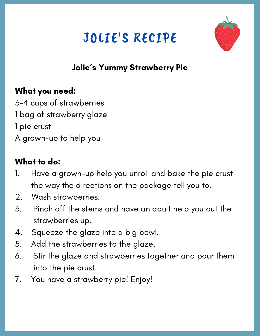# JOLIE'S RECIPE



#### Jolie ' s Yummy Strawberry Pie

#### What you need:

3-4 cups of strawberries 1 bag of strawberry glaze 1 pie crust A grown-up to help you

#### What to do:

- 1. Have a grown-up help you unroll and bake the pie crust the way the directions on the package tell you to.
- 2. Wash strawberries.
- 3. Pinch off the stems and have an adult help you cut the strawberries up.
- 4. Squeeze the glaze into a big bowl.
- 5. Add the strawberries to the glaze.
- 6. Stir the glaze and strawberries together and pour them into the pie crust.
- 7. You have a strawberry pie! Enjoy!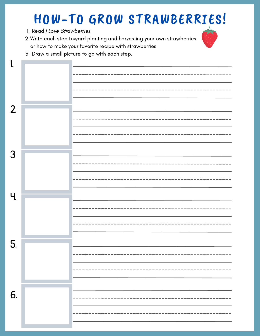## HOW-TO GROW STRAWBERRIES!

- 1. Read I Love Strawberries
- Write each step toward planting and harvesting your own strawberries 2. or how to make your favorite recipe with strawberries.



3. Draw a small picture to go with each step.

| ı.                    |  |
|-----------------------|--|
|                       |  |
|                       |  |
|                       |  |
|                       |  |
|                       |  |
| 2.                    |  |
|                       |  |
|                       |  |
|                       |  |
|                       |  |
| 3                     |  |
|                       |  |
|                       |  |
|                       |  |
|                       |  |
| $\mathcal{H}_{\cdot}$ |  |
|                       |  |
|                       |  |
|                       |  |
|                       |  |
|                       |  |
| 5.                    |  |
|                       |  |
|                       |  |
|                       |  |
|                       |  |
|                       |  |
| 6.                    |  |
|                       |  |
|                       |  |
|                       |  |
|                       |  |